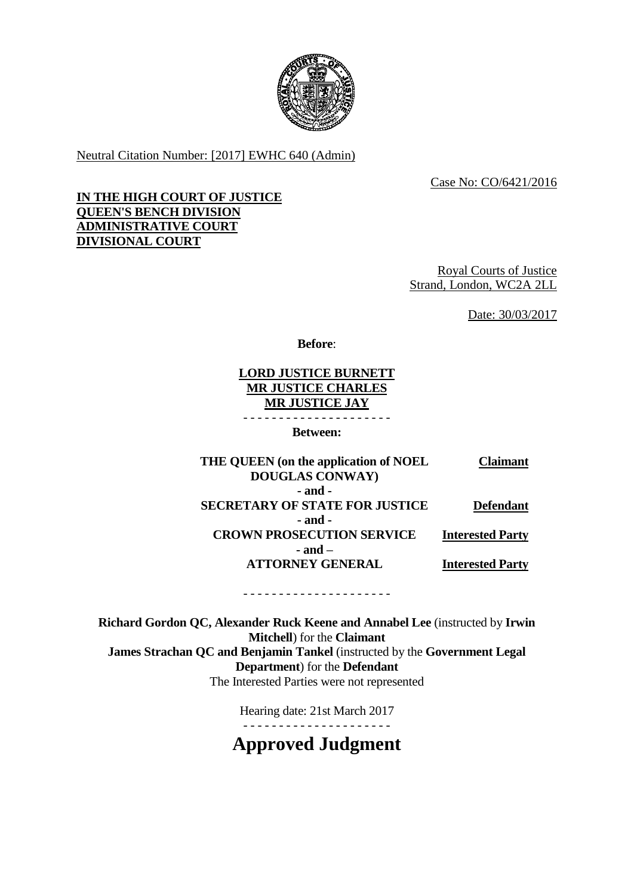

Neutral Citation Number: [2017] EWHC 640 (Admin)

Case No: CO/6421/2016

### **IN THE HIGH COURT OF JUSTICE QUEEN'S BENCH DIVISION ADMINISTRATIVE COURT DIVISIONAL COURT**

Royal Courts of Justice Strand, London, WC2A 2LL

Date: 30/03/2017

**Before**:

**LORD JUSTICE BURNETT MR JUSTICE CHARLES MR JUSTICE JAY** - - - - - - - - - - - - - - - - - - - - -

**Between:**

**THE QUEEN (on the application of NOEL DOUGLAS CONWAY) Claimant - and - SECRETARY OF STATE FOR JUSTICE Defendant - and - CROWN PROSECUTION SERVICE Interested Party - and – ATTORNEY GENERAL Interested Party**

- - - - - - - - - - - - - - - - - - - - -

**Richard Gordon QC, Alexander Ruck Keene and Annabel Lee** (instructed by **Irwin Mitchell**) for the **Claimant James Strachan QC and Benjamin Tankel** (instructed by the **Government Legal Department**) for the **Defendant** The Interested Parties were not represented

> Hearing date: 21st March 2017 - - - - - - - - - - - - - - - - - - - - -

**Approved Judgment**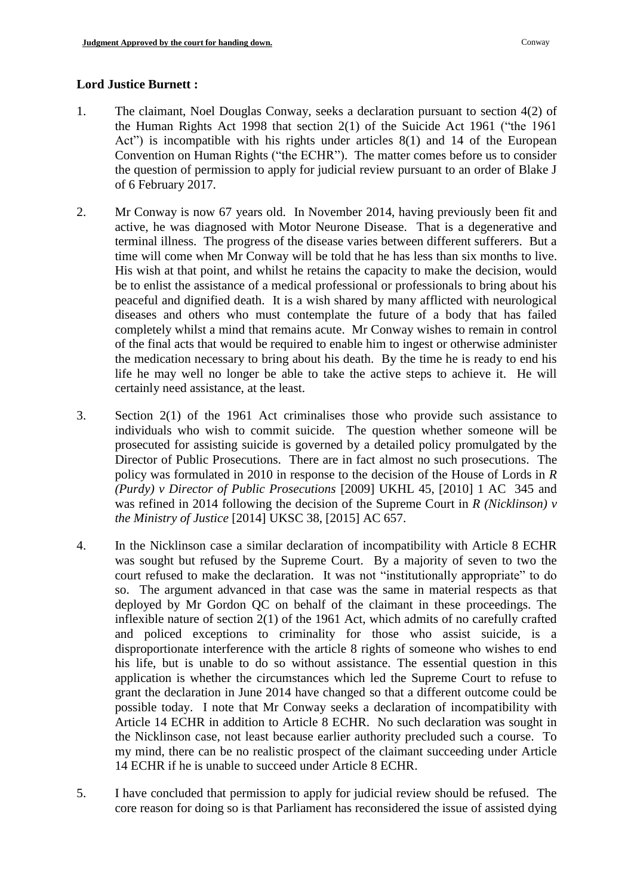### **Lord Justice Burnett :**

- 1. The claimant, Noel Douglas Conway, seeks a declaration pursuant to section 4(2) of the Human Rights Act 1998 that section 2(1) of the Suicide Act 1961 ("the 1961 Act") is incompatible with his rights under articles 8(1) and 14 of the European Convention on Human Rights ("the ECHR"). The matter comes before us to consider the question of permission to apply for judicial review pursuant to an order of Blake J of 6 February 2017.
- 2. Mr Conway is now 67 years old. In November 2014, having previously been fit and active, he was diagnosed with Motor Neurone Disease. That is a degenerative and terminal illness. The progress of the disease varies between different sufferers. But a time will come when Mr Conway will be told that he has less than six months to live. His wish at that point, and whilst he retains the capacity to make the decision, would be to enlist the assistance of a medical professional or professionals to bring about his peaceful and dignified death. It is a wish shared by many afflicted with neurological diseases and others who must contemplate the future of a body that has failed completely whilst a mind that remains acute. Mr Conway wishes to remain in control of the final acts that would be required to enable him to ingest or otherwise administer the medication necessary to bring about his death. By the time he is ready to end his life he may well no longer be able to take the active steps to achieve it. He will certainly need assistance, at the least.
- 3. Section 2(1) of the 1961 Act criminalises those who provide such assistance to individuals who wish to commit suicide. The question whether someone will be prosecuted for assisting suicide is governed by a detailed policy promulgated by the Director of Public Prosecutions. There are in fact almost no such prosecutions. The policy was formulated in 2010 in response to the decision of the House of Lords in *R (Purdy) v Director of Public Prosecutions* [2009] UKHL 45, [2010] 1 AC 345 and was refined in 2014 following the decision of the Supreme Court in *R (Nicklinson) v the Ministry of Justice* [2014] UKSC 38, [2015] AC 657.
- 4. In the Nicklinson case a similar declaration of incompatibility with Article 8 ECHR was sought but refused by the Supreme Court. By a majority of seven to two the court refused to make the declaration. It was not "institutionally appropriate" to do so. The argument advanced in that case was the same in material respects as that deployed by Mr Gordon QC on behalf of the claimant in these proceedings. The inflexible nature of section 2(1) of the 1961 Act, which admits of no carefully crafted and policed exceptions to criminality for those who assist suicide, is a disproportionate interference with the article 8 rights of someone who wishes to end his life, but is unable to do so without assistance. The essential question in this application is whether the circumstances which led the Supreme Court to refuse to grant the declaration in June 2014 have changed so that a different outcome could be possible today. I note that Mr Conway seeks a declaration of incompatibility with Article 14 ECHR in addition to Article 8 ECHR. No such declaration was sought in the Nicklinson case, not least because earlier authority precluded such a course. To my mind, there can be no realistic prospect of the claimant succeeding under Article 14 ECHR if he is unable to succeed under Article 8 ECHR.
- 5. I have concluded that permission to apply for judicial review should be refused. The core reason for doing so is that Parliament has reconsidered the issue of assisted dying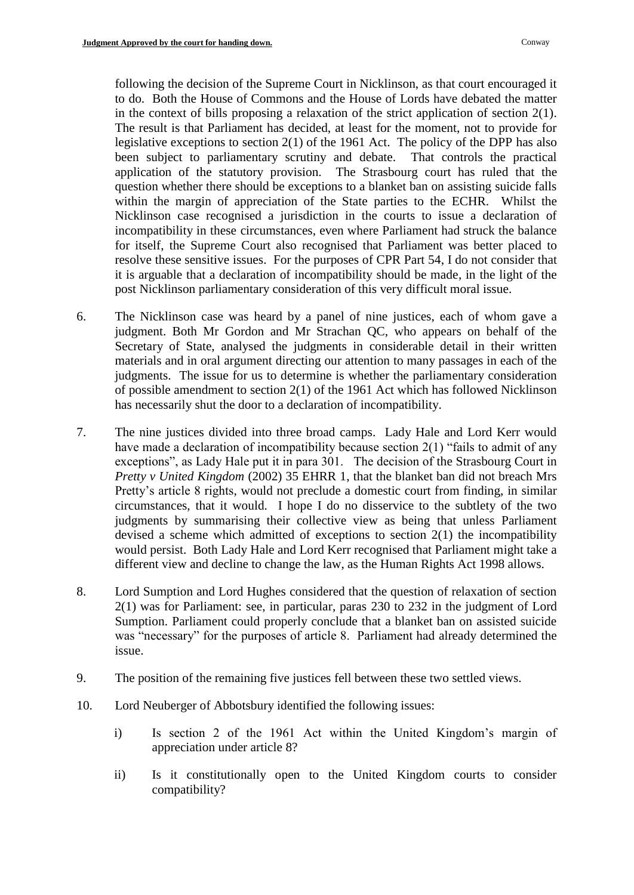following the decision of the Supreme Court in Nicklinson, as that court encouraged it to do. Both the House of Commons and the House of Lords have debated the matter in the context of bills proposing a relaxation of the strict application of section  $2(1)$ . The result is that Parliament has decided, at least for the moment, not to provide for legislative exceptions to section 2(1) of the 1961 Act. The policy of the DPP has also been subject to parliamentary scrutiny and debate. That controls the practical application of the statutory provision. The Strasbourg court has ruled that the question whether there should be exceptions to a blanket ban on assisting suicide falls within the margin of appreciation of the State parties to the ECHR. Whilst the Nicklinson case recognised a jurisdiction in the courts to issue a declaration of incompatibility in these circumstances, even where Parliament had struck the balance for itself, the Supreme Court also recognised that Parliament was better placed to resolve these sensitive issues. For the purposes of CPR Part 54, I do not consider that it is arguable that a declaration of incompatibility should be made, in the light of the post Nicklinson parliamentary consideration of this very difficult moral issue.

- 6. The Nicklinson case was heard by a panel of nine justices, each of whom gave a judgment. Both Mr Gordon and Mr Strachan QC, who appears on behalf of the Secretary of State, analysed the judgments in considerable detail in their written materials and in oral argument directing our attention to many passages in each of the judgments. The issue for us to determine is whether the parliamentary consideration of possible amendment to section 2(1) of the 1961 Act which has followed Nicklinson has necessarily shut the door to a declaration of incompatibility.
- 7. The nine justices divided into three broad camps. Lady Hale and Lord Kerr would have made a declaration of incompatibility because section 2(1) "fails to admit of any exceptions", as Lady Hale put it in para 301. The decision of the Strasbourg Court in *Pretty v United Kingdom* (2002) 35 EHRR 1, that the blanket ban did not breach Mrs Pretty's article 8 rights, would not preclude a domestic court from finding, in similar circumstances, that it would. I hope I do no disservice to the subtlety of the two judgments by summarising their collective view as being that unless Parliament devised a scheme which admitted of exceptions to section 2(1) the incompatibility would persist. Both Lady Hale and Lord Kerr recognised that Parliament might take a different view and decline to change the law, as the Human Rights Act 1998 allows.
- 8. Lord Sumption and Lord Hughes considered that the question of relaxation of section 2(1) was for Parliament: see, in particular, paras 230 to 232 in the judgment of Lord Sumption. Parliament could properly conclude that a blanket ban on assisted suicide was "necessary" for the purposes of article 8. Parliament had already determined the issue.
- 9. The position of the remaining five justices fell between these two settled views.
- 10. Lord Neuberger of Abbotsbury identified the following issues:
	- i) Is section 2 of the 1961 Act within the United Kingdom's margin of appreciation under article 8?
	- ii) Is it constitutionally open to the United Kingdom courts to consider compatibility?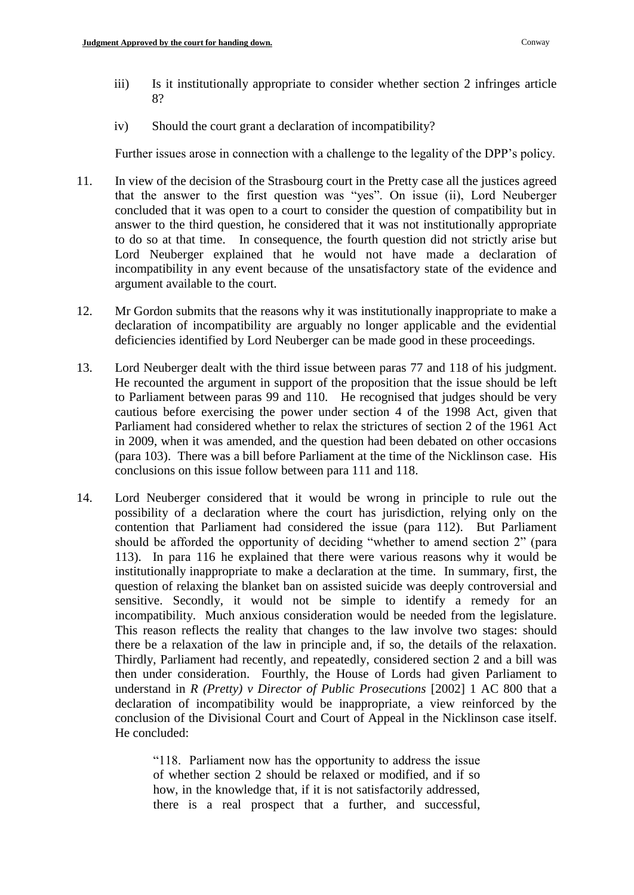- iii) Is it institutionally appropriate to consider whether section 2 infringes article 8?
- iv) Should the court grant a declaration of incompatibility?

Further issues arose in connection with a challenge to the legality of the DPP's policy.

- 11. In view of the decision of the Strasbourg court in the Pretty case all the justices agreed that the answer to the first question was "yes". On issue (ii), Lord Neuberger concluded that it was open to a court to consider the question of compatibility but in answer to the third question, he considered that it was not institutionally appropriate to do so at that time. In consequence, the fourth question did not strictly arise but Lord Neuberger explained that he would not have made a declaration of incompatibility in any event because of the unsatisfactory state of the evidence and argument available to the court.
- 12. Mr Gordon submits that the reasons why it was institutionally inappropriate to make a declaration of incompatibility are arguably no longer applicable and the evidential deficiencies identified by Lord Neuberger can be made good in these proceedings.
- 13. Lord Neuberger dealt with the third issue between paras 77 and 118 of his judgment. He recounted the argument in support of the proposition that the issue should be left to Parliament between paras 99 and 110. He recognised that judges should be very cautious before exercising the power under section 4 of the 1998 Act, given that Parliament had considered whether to relax the strictures of section 2 of the 1961 Act in 2009, when it was amended, and the question had been debated on other occasions (para 103). There was a bill before Parliament at the time of the Nicklinson case. His conclusions on this issue follow between para 111 and 118.
- 14. Lord Neuberger considered that it would be wrong in principle to rule out the possibility of a declaration where the court has jurisdiction, relying only on the contention that Parliament had considered the issue (para 112). But Parliament should be afforded the opportunity of deciding "whether to amend section 2" (para 113). In para 116 he explained that there were various reasons why it would be institutionally inappropriate to make a declaration at the time. In summary, first, the question of relaxing the blanket ban on assisted suicide was deeply controversial and sensitive. Secondly, it would not be simple to identify a remedy for an incompatibility. Much anxious consideration would be needed from the legislature. This reason reflects the reality that changes to the law involve two stages: should there be a relaxation of the law in principle and, if so, the details of the relaxation. Thirdly, Parliament had recently, and repeatedly, considered section 2 and a bill was then under consideration. Fourthly, the House of Lords had given Parliament to understand in *R (Pretty) v Director of Public Prosecutions* [2002] 1 AC 800 that a declaration of incompatibility would be inappropriate, a view reinforced by the conclusion of the Divisional Court and Court of Appeal in the Nicklinson case itself. He concluded:

"118. Parliament now has the opportunity to address the issue of whether section 2 should be relaxed or modified, and if so how, in the knowledge that, if it is not satisfactorily addressed, there is a real prospect that a further, and successful,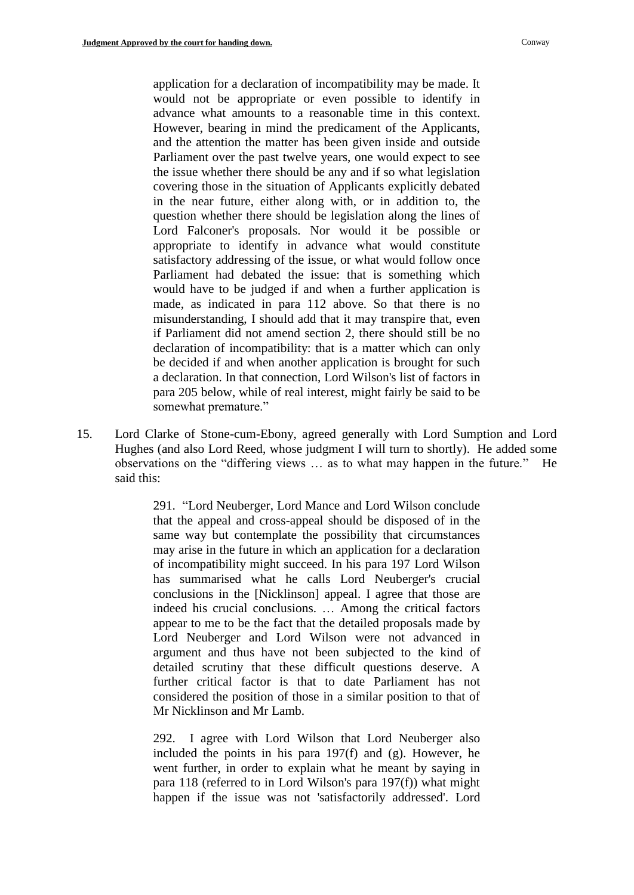application for a declaration of incompatibility may be made. It would not be appropriate or even possible to identify in advance what amounts to a reasonable time in this context. However, bearing in mind the predicament of the Applicants, and the attention the matter has been given inside and outside Parliament over the past twelve years, one would expect to see the issue whether there should be any and if so what legislation covering those in the situation of Applicants explicitly debated in the near future, either along with, or in addition to, the question whether there should be legislation along the lines of Lord Falconer's proposals. Nor would it be possible or appropriate to identify in advance what would constitute satisfactory addressing of the issue, or what would follow once Parliament had debated the issue: that is something which would have to be judged if and when a further application is made, as indicated in para 112 above. So that there is no misunderstanding, I should add that it may transpire that, even if Parliament did not amend section 2, there should still be no declaration of incompatibility: that is a matter which can only be decided if and when another application is brought for such a declaration. In that connection, Lord Wilson's list of factors in para 205 below, while of real interest, might fairly be said to be somewhat premature."

15. Lord Clarke of Stone-cum-Ebony, agreed generally with Lord Sumption and Lord Hughes (and also Lord Reed, whose judgment I will turn to shortly). He added some observations on the "differing views … as to what may happen in the future." He said this:

> 291. "Lord Neuberger, Lord Mance and Lord Wilson conclude that the appeal and cross-appeal should be disposed of in the same way but contemplate the possibility that circumstances may arise in the future in which an application for a declaration of incompatibility might succeed. In his para 197 Lord Wilson has summarised what he calls Lord Neuberger's crucial conclusions in the [Nicklinson] appeal. I agree that those are indeed his crucial conclusions. … Among the critical factors appear to me to be the fact that the detailed proposals made by Lord Neuberger and Lord Wilson were not advanced in argument and thus have not been subjected to the kind of detailed scrutiny that these difficult questions deserve. A further critical factor is that to date Parliament has not considered the position of those in a similar position to that of Mr Nicklinson and Mr Lamb.

> 292. I agree with Lord Wilson that Lord Neuberger also included the points in his para 197(f) and (g). However, he went further, in order to explain what he meant by saying in para 118 (referred to in Lord Wilson's para 197(f)) what might happen if the issue was not 'satisfactorily addressed'. Lord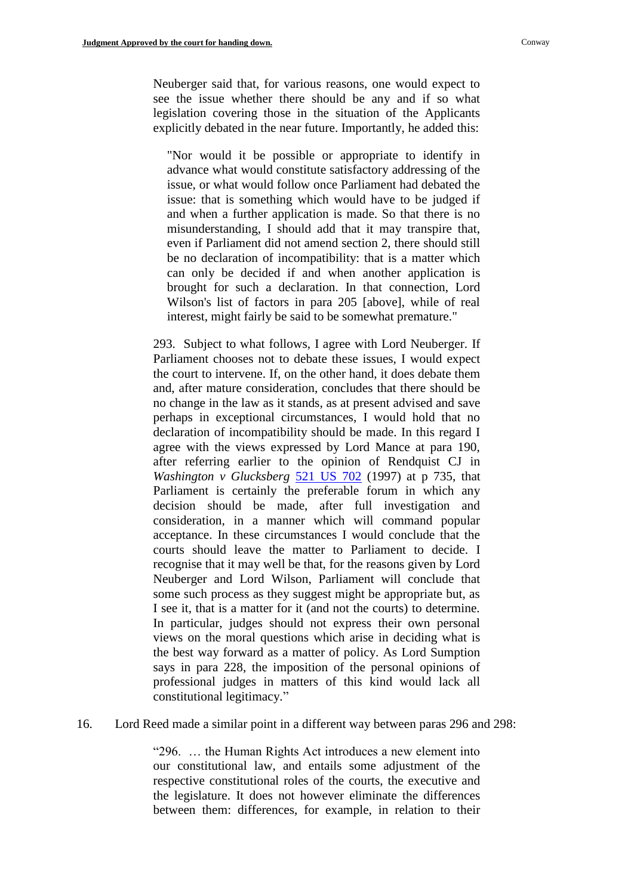Neuberger said that, for various reasons, one would expect to see the issue whether there should be any and if so what legislation covering those in the situation of the Applicants explicitly debated in the near future. Importantly, he added this:

"Nor would it be possible or appropriate to identify in advance what would constitute satisfactory addressing of the issue, or what would follow once Parliament had debated the issue: that is something which would have to be judged if and when a further application is made. So that there is no misunderstanding, I should add that it may transpire that, even if Parliament did not amend section 2, there should still be no declaration of incompatibility: that is a matter which can only be decided if and when another application is brought for such a declaration. In that connection, Lord Wilson's list of factors in para 205 [above], while of real interest, might fairly be said to be somewhat premature."

293. Subject to what follows, I agree with Lord Neuberger. If Parliament chooses not to debate these issues, I would expect the court to intervene. If, on the other hand, it does debate them and, after mature consideration, concludes that there should be no change in the law as it stands, as at present advised and save perhaps in exceptional circumstances, I would hold that no declaration of incompatibility should be made. In this regard I agree with the views expressed by Lord Mance at para 190, after referring earlier to the opinion of Rendquist CJ in *Washington v Glucksberg* [521 US 702](http://www.worldlii.org/us/cases/federal/USSC/1997/75.html) (1997) at p 735, that Parliament is certainly the preferable forum in which any decision should be made, after full investigation and consideration, in a manner which will command popular acceptance. In these circumstances I would conclude that the courts should leave the matter to Parliament to decide. I recognise that it may well be that, for the reasons given by Lord Neuberger and Lord Wilson, Parliament will conclude that some such process as they suggest might be appropriate but, as I see it, that is a matter for it (and not the courts) to determine. In particular, judges should not express their own personal views on the moral questions which arise in deciding what is the best way forward as a matter of policy. As Lord Sumption says in para 228, the imposition of the personal opinions of professional judges in matters of this kind would lack all constitutional legitimacy."

16. Lord Reed made a similar point in a different way between paras 296 and 298:

"296. … the Human Rights Act introduces a new element into our constitutional law, and entails some adjustment of the respective constitutional roles of the courts, the executive and the legislature. It does not however eliminate the differences between them: differences, for example, in relation to their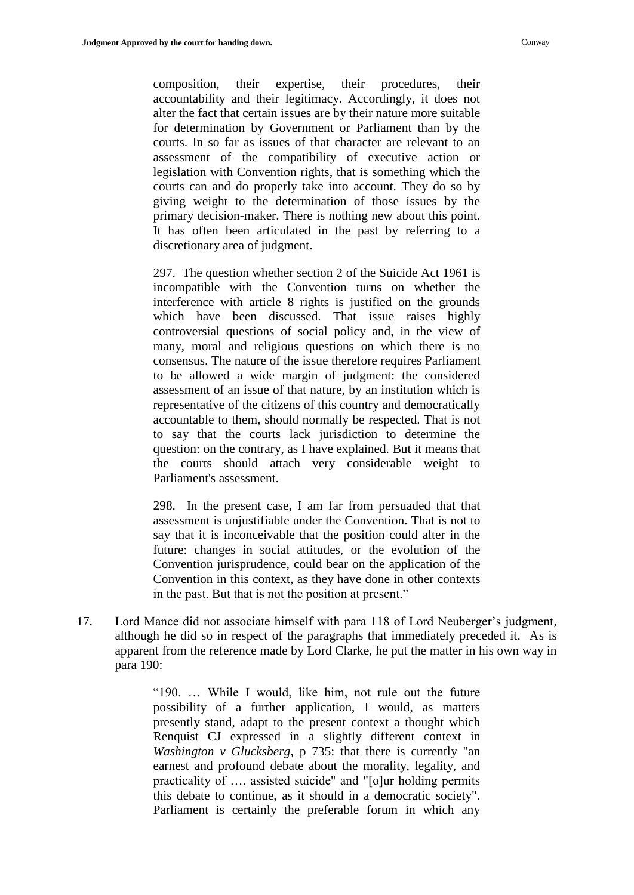composition, their expertise, their procedures, their accountability and their legitimacy. Accordingly, it does not alter the fact that certain issues are by their nature more suitable for determination by Government or Parliament than by the courts. In so far as issues of that character are relevant to an assessment of the compatibility of executive action or legislation with Convention rights, that is something which the courts can and do properly take into account. They do so by giving weight to the determination of those issues by the primary decision-maker. There is nothing new about this point. It has often been articulated in the past by referring to a discretionary area of judgment.

297. The question whether section 2 of the Suicide Act 1961 is incompatible with the Convention turns on whether the interference with article 8 rights is justified on the grounds which have been discussed. That issue raises highly controversial questions of social policy and, in the view of many, moral and religious questions on which there is no consensus. The nature of the issue therefore requires Parliament to be allowed a wide margin of judgment: the considered assessment of an issue of that nature, by an institution which is representative of the citizens of this country and democratically accountable to them, should normally be respected. That is not to say that the courts lack jurisdiction to determine the question: on the contrary, as I have explained. But it means that the courts should attach very considerable weight to Parliament's assessment.

298. In the present case, I am far from persuaded that that assessment is unjustifiable under the Convention. That is not to say that it is inconceivable that the position could alter in the future: changes in social attitudes, or the evolution of the Convention jurisprudence, could bear on the application of the Convention in this context, as they have done in other contexts in the past. But that is not the position at present."

17. Lord Mance did not associate himself with para 118 of Lord Neuberger's judgment, although he did so in respect of the paragraphs that immediately preceded it. As is apparent from the reference made by Lord Clarke, he put the matter in his own way in para 190:

> "190. … While I would, like him, not rule out the future possibility of a further application, I would, as matters presently stand, adapt to the present context a thought which Renquist CJ expressed in a slightly different context in *Washington v Glucksberg*, p 735: that there is currently "an earnest and profound debate about the morality, legality, and practicality of …. assisted suicide" and "[o]ur holding permits this debate to continue, as it should in a democratic society". Parliament is certainly the preferable forum in which any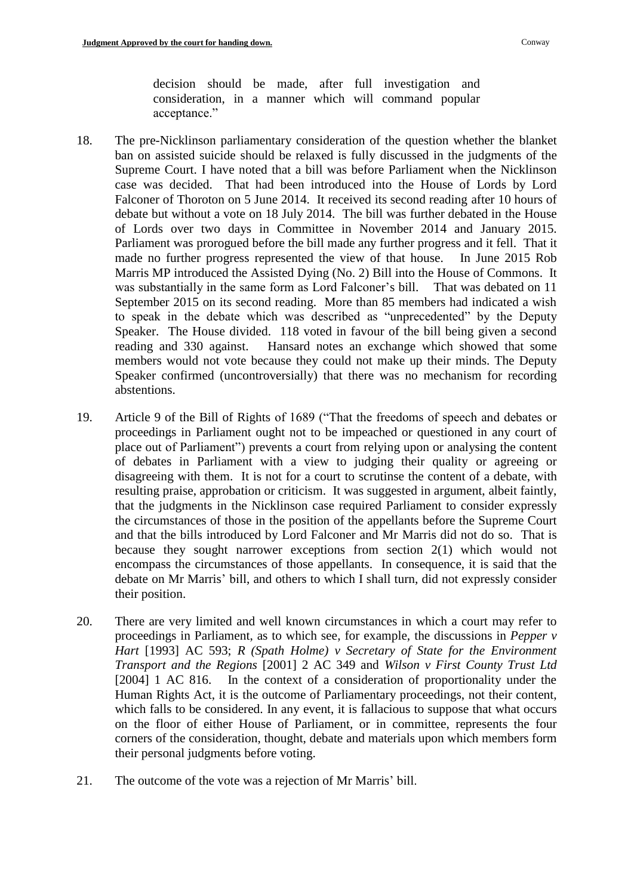decision should be made, after full investigation and consideration, in a manner which will command popular acceptance."

- 18. The pre-Nicklinson parliamentary consideration of the question whether the blanket ban on assisted suicide should be relaxed is fully discussed in the judgments of the Supreme Court. I have noted that a bill was before Parliament when the Nicklinson case was decided. That had been introduced into the House of Lords by Lord Falconer of Thoroton on 5 June 2014. It received its second reading after 10 hours of debate but without a vote on 18 July 2014. The bill was further debated in the House of Lords over two days in Committee in November 2014 and January 2015. Parliament was prorogued before the bill made any further progress and it fell. That it made no further progress represented the view of that house. In June 2015 Rob Marris MP introduced the Assisted Dying (No. 2) Bill into the House of Commons. It was substantially in the same form as Lord Falconer's bill. That was debated on 11 September 2015 on its second reading. More than 85 members had indicated a wish to speak in the debate which was described as "unprecedented" by the Deputy Speaker. The House divided. 118 voted in favour of the bill being given a second reading and 330 against. Hansard notes an exchange which showed that some members would not vote because they could not make up their minds. The Deputy Speaker confirmed (uncontroversially) that there was no mechanism for recording abstentions.
- 19. Article 9 of the Bill of Rights of 1689 ("That the freedoms of speech and debates or proceedings in Parliament ought not to be impeached or questioned in any court of place out of Parliament") prevents a court from relying upon or analysing the content of debates in Parliament with a view to judging their quality or agreeing or disagreeing with them. It is not for a court to scrutinse the content of a debate, with resulting praise, approbation or criticism. It was suggested in argument, albeit faintly, that the judgments in the Nicklinson case required Parliament to consider expressly the circumstances of those in the position of the appellants before the Supreme Court and that the bills introduced by Lord Falconer and Mr Marris did not do so. That is because they sought narrower exceptions from section 2(1) which would not encompass the circumstances of those appellants. In consequence, it is said that the debate on Mr Marris' bill, and others to which I shall turn, did not expressly consider their position.
- 20. There are very limited and well known circumstances in which a court may refer to proceedings in Parliament, as to which see, for example, the discussions in *Pepper v Hart* [1993] AC 593; *R (Spath Holme) v Secretary of State for the Environment Transport and the Regions* [2001] 2 AC 349 and *Wilson v First County Trust Ltd*  [2004] 1 AC 816. In the context of a consideration of proportionality under the Human Rights Act, it is the outcome of Parliamentary proceedings, not their content, which falls to be considered. In any event, it is fallacious to suppose that what occurs on the floor of either House of Parliament, or in committee, represents the four corners of the consideration, thought, debate and materials upon which members form their personal judgments before voting.
- 21. The outcome of the vote was a rejection of Mr Marris' bill.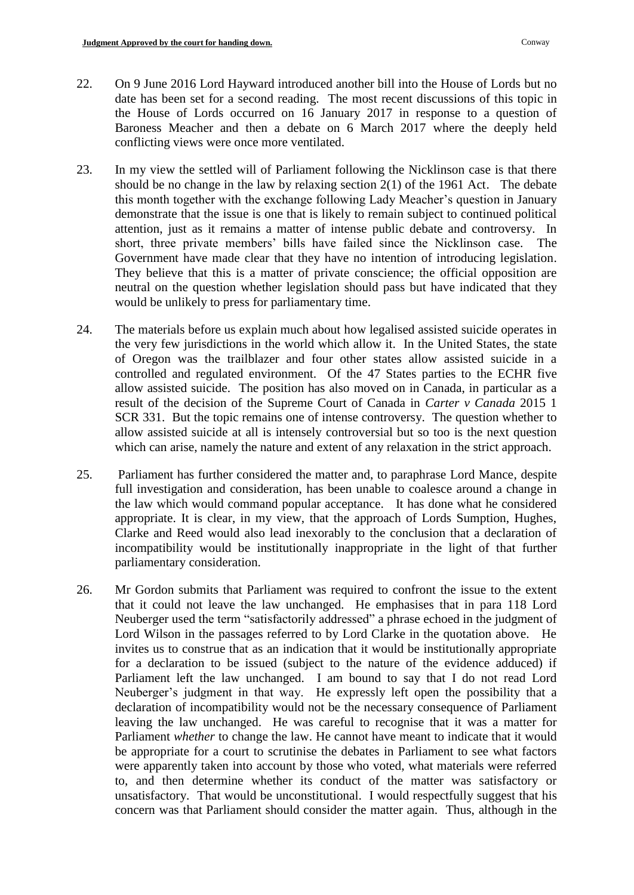- 22. On 9 June 2016 Lord Hayward introduced another bill into the House of Lords but no date has been set for a second reading. The most recent discussions of this topic in the House of Lords occurred on 16 January 2017 in response to a question of Baroness Meacher and then a debate on 6 March 2017 where the deeply held conflicting views were once more ventilated.
- 23. In my view the settled will of Parliament following the Nicklinson case is that there should be no change in the law by relaxing section 2(1) of the 1961 Act. The debate this month together with the exchange following Lady Meacher's question in January demonstrate that the issue is one that is likely to remain subject to continued political attention, just as it remains a matter of intense public debate and controversy. In short, three private members' bills have failed since the Nicklinson case. The Government have made clear that they have no intention of introducing legislation. They believe that this is a matter of private conscience; the official opposition are neutral on the question whether legislation should pass but have indicated that they would be unlikely to press for parliamentary time.
- 24. The materials before us explain much about how legalised assisted suicide operates in the very few jurisdictions in the world which allow it. In the United States, the state of Oregon was the trailblazer and four other states allow assisted suicide in a controlled and regulated environment. Of the 47 States parties to the ECHR five allow assisted suicide. The position has also moved on in Canada, in particular as a result of the decision of the Supreme Court of Canada in *Carter v Canada* 2015 1 SCR 331. But the topic remains one of intense controversy. The question whether to allow assisted suicide at all is intensely controversial but so too is the next question which can arise, namely the nature and extent of any relaxation in the strict approach.
- 25. Parliament has further considered the matter and, to paraphrase Lord Mance, despite full investigation and consideration, has been unable to coalesce around a change in the law which would command popular acceptance. It has done what he considered appropriate. It is clear, in my view, that the approach of Lords Sumption, Hughes, Clarke and Reed would also lead inexorably to the conclusion that a declaration of incompatibility would be institutionally inappropriate in the light of that further parliamentary consideration.
- 26. Mr Gordon submits that Parliament was required to confront the issue to the extent that it could not leave the law unchanged. He emphasises that in para 118 Lord Neuberger used the term "satisfactorily addressed" a phrase echoed in the judgment of Lord Wilson in the passages referred to by Lord Clarke in the quotation above. He invites us to construe that as an indication that it would be institutionally appropriate for a declaration to be issued (subject to the nature of the evidence adduced) if Parliament left the law unchanged. I am bound to say that I do not read Lord Neuberger's judgment in that way. He expressly left open the possibility that a declaration of incompatibility would not be the necessary consequence of Parliament leaving the law unchanged. He was careful to recognise that it was a matter for Parliament *whether* to change the law. He cannot have meant to indicate that it would be appropriate for a court to scrutinise the debates in Parliament to see what factors were apparently taken into account by those who voted, what materials were referred to, and then determine whether its conduct of the matter was satisfactory or unsatisfactory. That would be unconstitutional. I would respectfully suggest that his concern was that Parliament should consider the matter again. Thus, although in the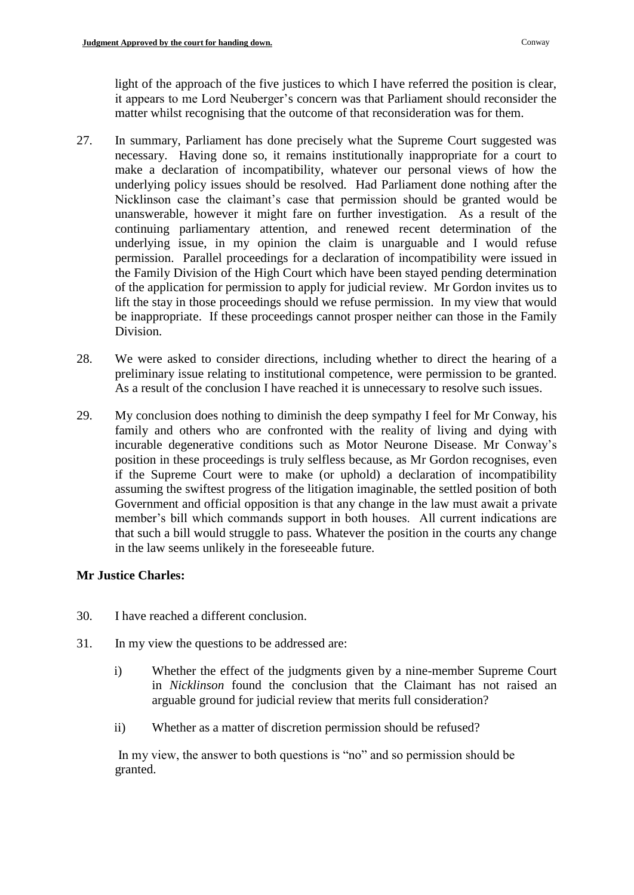light of the approach of the five justices to which I have referred the position is clear, it appears to me Lord Neuberger's concern was that Parliament should reconsider the matter whilst recognising that the outcome of that reconsideration was for them.

- 27. In summary, Parliament has done precisely what the Supreme Court suggested was necessary. Having done so, it remains institutionally inappropriate for a court to make a declaration of incompatibility, whatever our personal views of how the underlying policy issues should be resolved. Had Parliament done nothing after the Nicklinson case the claimant's case that permission should be granted would be unanswerable, however it might fare on further investigation. As a result of the continuing parliamentary attention, and renewed recent determination of the underlying issue, in my opinion the claim is unarguable and I would refuse permission. Parallel proceedings for a declaration of incompatibility were issued in the Family Division of the High Court which have been stayed pending determination of the application for permission to apply for judicial review. Mr Gordon invites us to lift the stay in those proceedings should we refuse permission. In my view that would be inappropriate. If these proceedings cannot prosper neither can those in the Family Division.
- 28. We were asked to consider directions, including whether to direct the hearing of a preliminary issue relating to institutional competence, were permission to be granted. As a result of the conclusion I have reached it is unnecessary to resolve such issues.
- 29. My conclusion does nothing to diminish the deep sympathy I feel for Mr Conway, his family and others who are confronted with the reality of living and dying with incurable degenerative conditions such as Motor Neurone Disease. Mr Conway's position in these proceedings is truly selfless because, as Mr Gordon recognises, even if the Supreme Court were to make (or uphold) a declaration of incompatibility assuming the swiftest progress of the litigation imaginable, the settled position of both Government and official opposition is that any change in the law must await a private member's bill which commands support in both houses. All current indications are that such a bill would struggle to pass. Whatever the position in the courts any change in the law seems unlikely in the foreseeable future.

# **Mr Justice Charles:**

- 30. I have reached a different conclusion.
- 31. In my view the questions to be addressed are:
	- i) Whether the effect of the judgments given by a nine-member Supreme Court in *Nicklinson* found the conclusion that the Claimant has not raised an arguable ground for judicial review that merits full consideration?
	- ii) Whether as a matter of discretion permission should be refused?

In my view, the answer to both questions is "no" and so permission should be granted.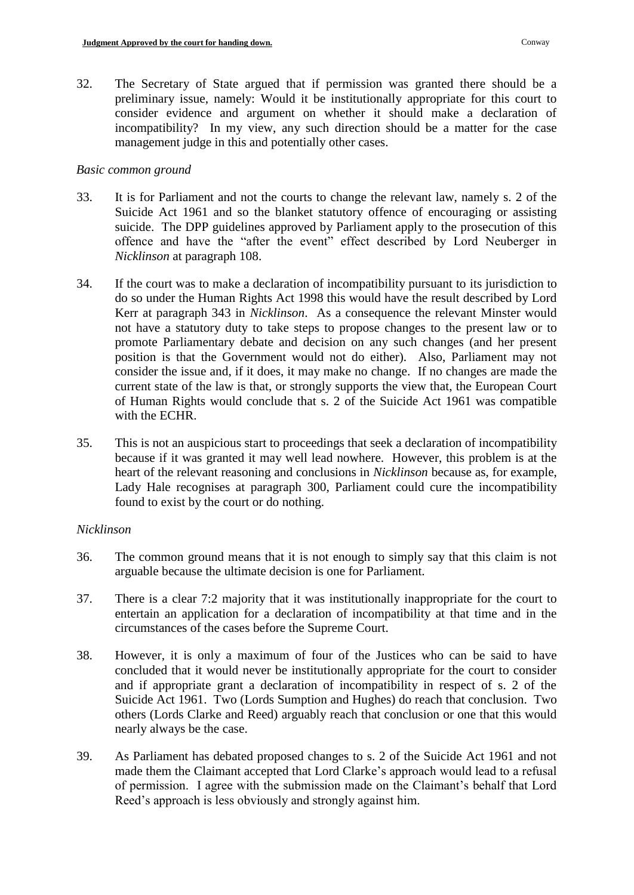32. The Secretary of State argued that if permission was granted there should be a preliminary issue, namely: Would it be institutionally appropriate for this court to consider evidence and argument on whether it should make a declaration of incompatibility? In my view, any such direction should be a matter for the case management judge in this and potentially other cases.

### *Basic common ground*

- 33. It is for Parliament and not the courts to change the relevant law, namely s. 2 of the Suicide Act 1961 and so the blanket statutory offence of encouraging or assisting suicide. The DPP guidelines approved by Parliament apply to the prosecution of this offence and have the "after the event" effect described by Lord Neuberger in *Nicklinson* at paragraph 108.
- 34. If the court was to make a declaration of incompatibility pursuant to its jurisdiction to do so under the Human Rights Act 1998 this would have the result described by Lord Kerr at paragraph 343 in *Nicklinson*. As a consequence the relevant Minster would not have a statutory duty to take steps to propose changes to the present law or to promote Parliamentary debate and decision on any such changes (and her present position is that the Government would not do either). Also, Parliament may not consider the issue and, if it does, it may make no change. If no changes are made the current state of the law is that, or strongly supports the view that, the European Court of Human Rights would conclude that s. 2 of the Suicide Act 1961 was compatible with the ECHR.
- 35. This is not an auspicious start to proceedings that seek a declaration of incompatibility because if it was granted it may well lead nowhere. However, this problem is at the heart of the relevant reasoning and conclusions in *Nicklinson* because as, for example, Lady Hale recognises at paragraph 300, Parliament could cure the incompatibility found to exist by the court or do nothing.

# *Nicklinson*

- 36. The common ground means that it is not enough to simply say that this claim is not arguable because the ultimate decision is one for Parliament.
- 37. There is a clear 7:2 majority that it was institutionally inappropriate for the court to entertain an application for a declaration of incompatibility at that time and in the circumstances of the cases before the Supreme Court.
- 38. However, it is only a maximum of four of the Justices who can be said to have concluded that it would never be institutionally appropriate for the court to consider and if appropriate grant a declaration of incompatibility in respect of s. 2 of the Suicide Act 1961. Two (Lords Sumption and Hughes) do reach that conclusion. Two others (Lords Clarke and Reed) arguably reach that conclusion or one that this would nearly always be the case.
- 39. As Parliament has debated proposed changes to s. 2 of the Suicide Act 1961 and not made them the Claimant accepted that Lord Clarke's approach would lead to a refusal of permission. I agree with the submission made on the Claimant's behalf that Lord Reed's approach is less obviously and strongly against him.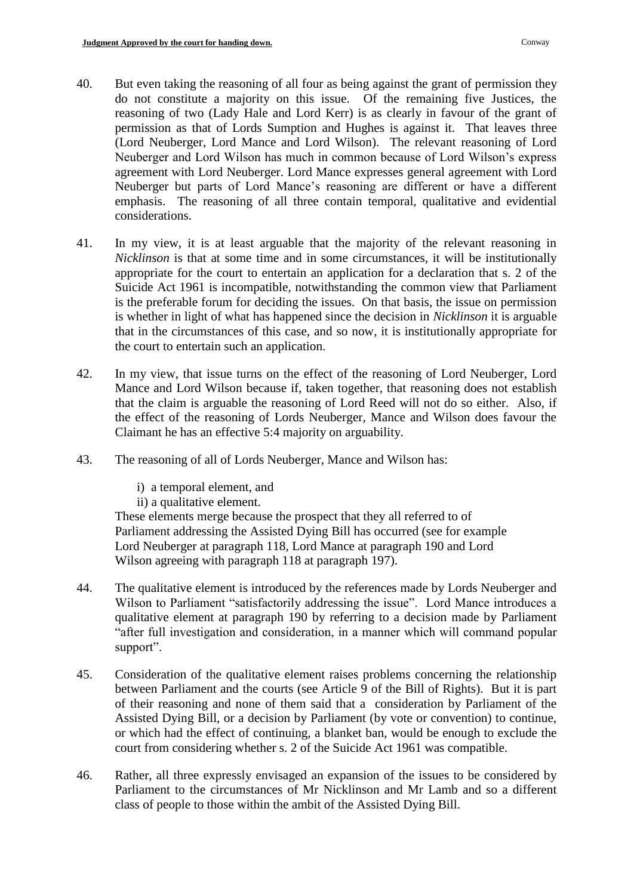- 40. But even taking the reasoning of all four as being against the grant of permission they do not constitute a majority on this issue. Of the remaining five Justices, the reasoning of two (Lady Hale and Lord Kerr) is as clearly in favour of the grant of permission as that of Lords Sumption and Hughes is against it. That leaves three (Lord Neuberger, Lord Mance and Lord Wilson). The relevant reasoning of Lord Neuberger and Lord Wilson has much in common because of Lord Wilson's express agreement with Lord Neuberger. Lord Mance expresses general agreement with Lord Neuberger but parts of Lord Mance's reasoning are different or have a different emphasis. The reasoning of all three contain temporal, qualitative and evidential considerations.
- 41. In my view, it is at least arguable that the majority of the relevant reasoning in *Nicklinson* is that at some time and in some circumstances, it will be institutionally appropriate for the court to entertain an application for a declaration that s. 2 of the Suicide Act 1961 is incompatible, notwithstanding the common view that Parliament is the preferable forum for deciding the issues. On that basis, the issue on permission is whether in light of what has happened since the decision in *Nicklinson* it is arguable that in the circumstances of this case, and so now, it is institutionally appropriate for the court to entertain such an application.
- 42. In my view, that issue turns on the effect of the reasoning of Lord Neuberger, Lord Mance and Lord Wilson because if, taken together, that reasoning does not establish that the claim is arguable the reasoning of Lord Reed will not do so either. Also, if the effect of the reasoning of Lords Neuberger, Mance and Wilson does favour the Claimant he has an effective 5:4 majority on arguability.
- 43. The reasoning of all of Lords Neuberger, Mance and Wilson has:
	- i) a temporal element, and
	- ii) a qualitative element.

These elements merge because the prospect that they all referred to of Parliament addressing the Assisted Dying Bill has occurred (see for example Lord Neuberger at paragraph 118, Lord Mance at paragraph 190 and Lord Wilson agreeing with paragraph 118 at paragraph 197).

- 44. The qualitative element is introduced by the references made by Lords Neuberger and Wilson to Parliament "satisfactorily addressing the issue". Lord Mance introduces a qualitative element at paragraph 190 by referring to a decision made by Parliament "after full investigation and consideration, in a manner which will command popular support".
- 45. Consideration of the qualitative element raises problems concerning the relationship between Parliament and the courts (see Article 9 of the Bill of Rights). But it is part of their reasoning and none of them said that a consideration by Parliament of the Assisted Dying Bill, or a decision by Parliament (by vote or convention) to continue, or which had the effect of continuing, a blanket ban, would be enough to exclude the court from considering whether s. 2 of the Suicide Act 1961 was compatible.
- 46. Rather, all three expressly envisaged an expansion of the issues to be considered by Parliament to the circumstances of Mr Nicklinson and Mr Lamb and so a different class of people to those within the ambit of the Assisted Dying Bill.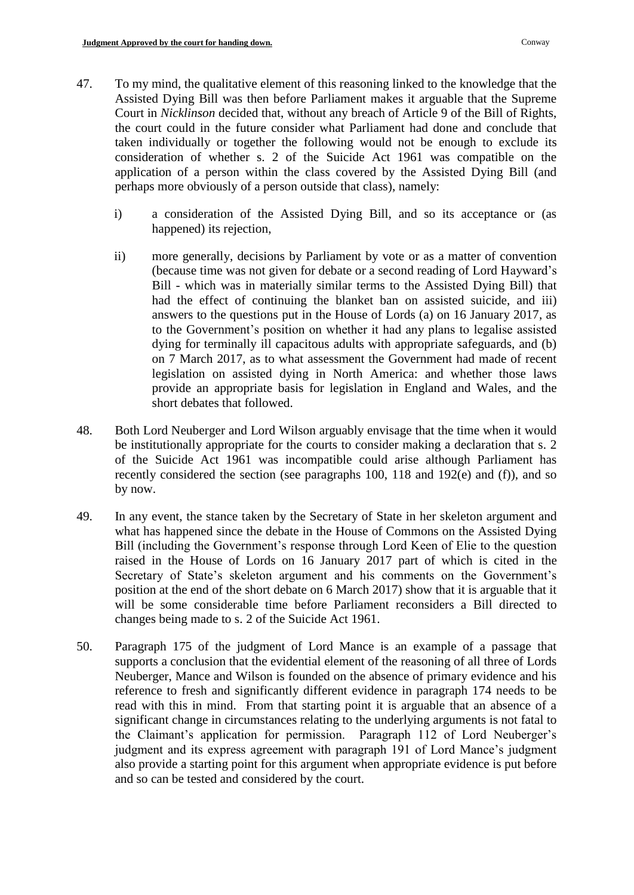- 47. To my mind, the qualitative element of this reasoning linked to the knowledge that the Assisted Dying Bill was then before Parliament makes it arguable that the Supreme Court in *Nicklinson* decided that, without any breach of Article 9 of the Bill of Rights, the court could in the future consider what Parliament had done and conclude that taken individually or together the following would not be enough to exclude its consideration of whether s. 2 of the Suicide Act 1961 was compatible on the application of a person within the class covered by the Assisted Dying Bill (and perhaps more obviously of a person outside that class), namely:
	- i) a consideration of the Assisted Dying Bill, and so its acceptance or (as happened) its rejection,
	- ii) more generally, decisions by Parliament by vote or as a matter of convention (because time was not given for debate or a second reading of Lord Hayward's Bill - which was in materially similar terms to the Assisted Dying Bill) that had the effect of continuing the blanket ban on assisted suicide, and iii) answers to the questions put in the House of Lords (a) on 16 January 2017, as to the Government's position on whether it had any plans to legalise assisted dying for terminally ill capacitous adults with appropriate safeguards, and (b) on 7 March 2017, as to what assessment the Government had made of recent legislation on assisted dying in North America: and whether those laws provide an appropriate basis for legislation in England and Wales, and the short debates that followed.
- 48. Both Lord Neuberger and Lord Wilson arguably envisage that the time when it would be institutionally appropriate for the courts to consider making a declaration that s. 2 of the Suicide Act 1961 was incompatible could arise although Parliament has recently considered the section (see paragraphs 100, 118 and 192(e) and (f)), and so by now.
- 49. In any event, the stance taken by the Secretary of State in her skeleton argument and what has happened since the debate in the House of Commons on the Assisted Dying Bill (including the Government's response through Lord Keen of Elie to the question raised in the House of Lords on 16 January 2017 part of which is cited in the Secretary of State's skeleton argument and his comments on the Government's position at the end of the short debate on 6 March 2017) show that it is arguable that it will be some considerable time before Parliament reconsiders a Bill directed to changes being made to s. 2 of the Suicide Act 1961.
- 50. Paragraph 175 of the judgment of Lord Mance is an example of a passage that supports a conclusion that the evidential element of the reasoning of all three of Lords Neuberger, Mance and Wilson is founded on the absence of primary evidence and his reference to fresh and significantly different evidence in paragraph 174 needs to be read with this in mind. From that starting point it is arguable that an absence of a significant change in circumstances relating to the underlying arguments is not fatal to the Claimant's application for permission. Paragraph 112 of Lord Neuberger's judgment and its express agreement with paragraph 191 of Lord Mance's judgment also provide a starting point for this argument when appropriate evidence is put before and so can be tested and considered by the court.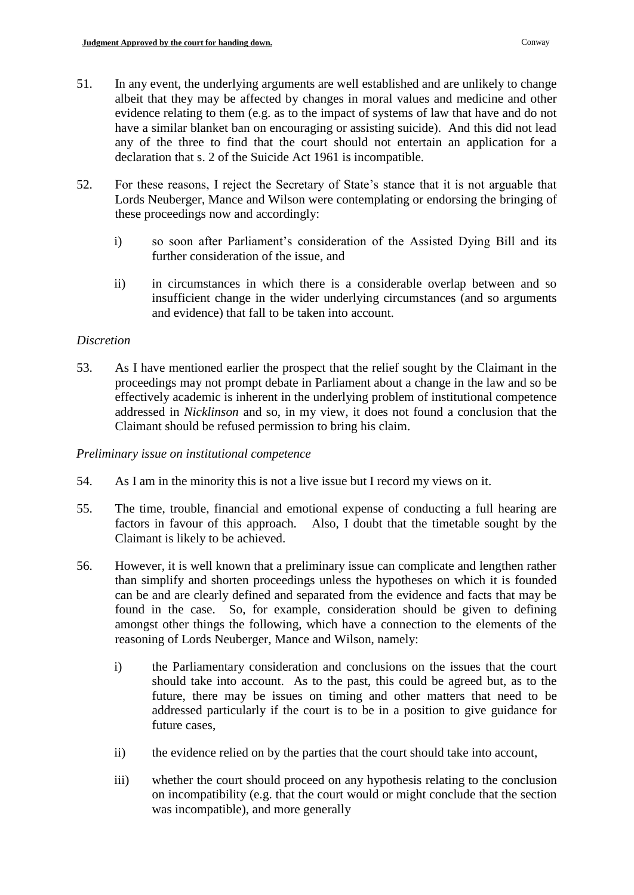- 51. In any event, the underlying arguments are well established and are unlikely to change albeit that they may be affected by changes in moral values and medicine and other evidence relating to them (e.g. as to the impact of systems of law that have and do not have a similar blanket ban on encouraging or assisting suicide). And this did not lead any of the three to find that the court should not entertain an application for a declaration that s. 2 of the Suicide Act 1961 is incompatible.
- 52. For these reasons, I reject the Secretary of State's stance that it is not arguable that Lords Neuberger, Mance and Wilson were contemplating or endorsing the bringing of these proceedings now and accordingly:
	- i) so soon after Parliament's consideration of the Assisted Dying Bill and its further consideration of the issue, and
	- ii) in circumstances in which there is a considerable overlap between and so insufficient change in the wider underlying circumstances (and so arguments and evidence) that fall to be taken into account.

### *Discretion*

53. As I have mentioned earlier the prospect that the relief sought by the Claimant in the proceedings may not prompt debate in Parliament about a change in the law and so be effectively academic is inherent in the underlying problem of institutional competence addressed in *Nicklinson* and so, in my view, it does not found a conclusion that the Claimant should be refused permission to bring his claim.

### *Preliminary issue on institutional competence*

- 54. As I am in the minority this is not a live issue but I record my views on it.
- 55. The time, trouble, financial and emotional expense of conducting a full hearing are factors in favour of this approach. Also, I doubt that the timetable sought by the Claimant is likely to be achieved.
- 56. However, it is well known that a preliminary issue can complicate and lengthen rather than simplify and shorten proceedings unless the hypotheses on which it is founded can be and are clearly defined and separated from the evidence and facts that may be found in the case. So, for example, consideration should be given to defining amongst other things the following, which have a connection to the elements of the reasoning of Lords Neuberger, Mance and Wilson, namely:
	- i) the Parliamentary consideration and conclusions on the issues that the court should take into account. As to the past, this could be agreed but, as to the future, there may be issues on timing and other matters that need to be addressed particularly if the court is to be in a position to give guidance for future cases,
	- ii) the evidence relied on by the parties that the court should take into account,
	- iii) whether the court should proceed on any hypothesis relating to the conclusion on incompatibility (e.g. that the court would or might conclude that the section was incompatible), and more generally